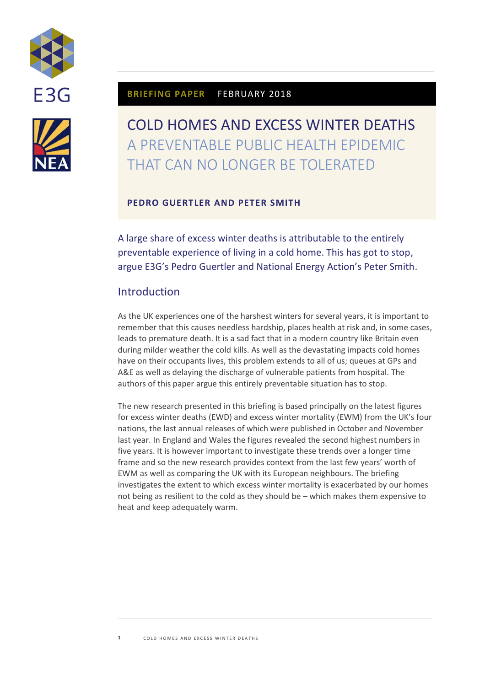



## **BRIEFING PAPER** FEBRUARY 2018

# COLD HOMES AND EXCESS WINTER DEATHS A PREVENTABLE PUBLIC HEALTH EPIDEMIC THAT CAN NO LONGER BE TOLERATED

## **PEDRO GUERTLER AND PETER SMITH**

A large share of excess winter deaths is attributable to the entirely preventable experience of living in a cold home. This has got to stop, argue E3G's Pedro Guertler and National Energy Action's Peter Smith.

## **Introduction**

As the UK experiences one of the harshest winters for several years, it is important to remember that this causes needless hardship, places health at risk and, in some cases, leads to premature death. It is a sad fact that in a modern country like Britain even during milder weather the cold kills. As well as the devastating impacts cold homes have on their occupants lives, this problem extends to all of us; queues at GPs and A&E as well as delaying the discharge of vulnerable patients from hospital. The authors of this paper argue this entirely preventable situation has to stop.

The new research presented in this briefing is based principally on the latest figures for excess winter deaths (EWD) and excess winter mortality (EWM) from the UK's four nations, the last annual releases of which were published in October and November last year. In England and Wales the figures revealed the second highest numbers in five years. It is however important to investigate these trends over a longer time frame and so the new research provides context from the last few years' worth of EWM as well as comparing the UK with its European neighbours. The briefing investigates the extent to which excess winter mortality is exacerbated by our homes not being as resilient to the cold as they should be – which makes them expensive to heat and keep adequately warm.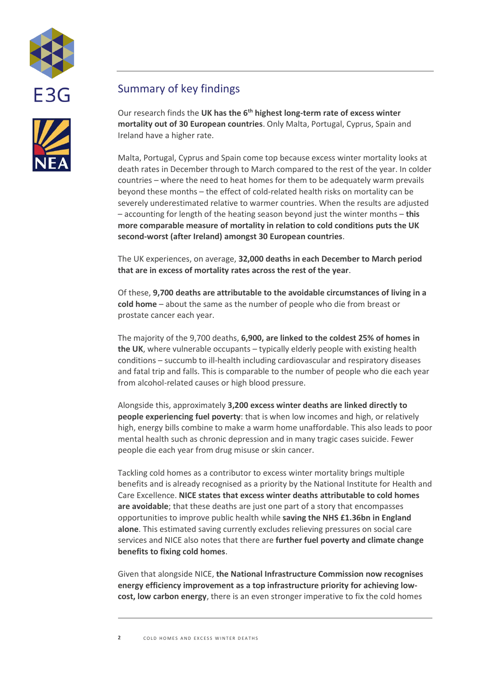



## Summary of key findings

Our research finds the **UK has the 6th highest long-term rate of excess winter mortality out of 30 European countries**. Only Malta, Portugal, Cyprus, Spain and Ireland have a higher rate.

Malta, Portugal, Cyprus and Spain come top because excess winter mortality looks at death rates in December through to March compared to the rest of the year. In colder countries – where the need to heat homes for them to be adequately warm prevails beyond these months – the effect of cold-related health risks on mortality can be severely underestimated relative to warmer countries. When the results are adjusted – accounting for length of the heating season beyond just the winter months – **this more comparable measure of mortality in relation to cold conditions puts the UK second-worst (after Ireland) amongst 30 European countries**.

The UK experiences, on average, **32,000 deaths in each December to March period that are in excess of mortality rates across the rest of the year**.

Of these, **9,700 deaths are attributable to the avoidable circumstances of living in a cold home** – about the same as the number of people who die from breast or prostate cancer each year.

The majority of the 9,700 deaths, **6,900, are linked to the coldest 25% of homes in the UK**, where vulnerable occupants – typically elderly people with existing health conditions – succumb to ill-health including cardiovascular and respiratory diseases and fatal trip and falls. This is comparable to the number of people who die each year from alcohol-related causes or high blood pressure.

Alongside this, approximately **3,200 excess winter deaths are linked directly to people experiencing fuel poverty**: that is when low incomes and high, or relatively high, energy bills combine to make a warm home unaffordable. This also leads to poor mental health such as chronic depression and in many tragic cases suicide. Fewer people die each year from drug misuse or skin cancer.

Tackling cold homes as a contributor to excess winter mortality brings multiple benefits and is already recognised as a priority by the National Institute for Health and Care Excellence. **NICE states that excess winter deaths attributable to cold homes are avoidable**; that these deaths are just one part of a story that encompasses opportunities to improve public health while **saving the NHS £1.36bn in England alone**. This estimated saving currently excludes relieving pressures on social care services and NICE also notes that there are **further fuel poverty and climate change benefits to fixing cold homes**.

Given that alongside NICE, **the National Infrastructure Commission now recognises energy efficiency improvement as a top infrastructure priority for achieving lowcost, low carbon energy**, there is an even stronger imperative to fix the cold homes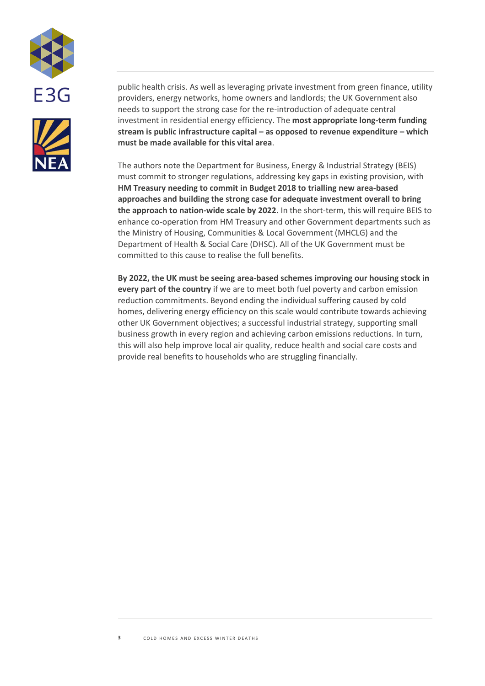



public health crisis. As well as leveraging private investment from green finance, utility providers, energy networks, home owners and landlords; the UK Government also needs to support the strong case for the re-introduction of adequate central investment in residential energy efficiency. The **most appropriate long-term funding stream is public infrastructure capital – as opposed to revenue expenditure – which must be made available for this vital area**.

The authors note the Department for Business, Energy & Industrial Strategy (BEIS) must commit to stronger regulations, addressing key gaps in existing provision, with **HM Treasury needing to commit in Budget 2018 to trialling new area-based approaches and building the strong case for adequate investment overall to bring the approach to nation-wide scale by 2022**. In the short-term, this will require BEIS to enhance co-operation from HM Treasury and other Government departments such as the Ministry of Housing, Communities & Local Government (MHCLG) and the Department of Health & Social Care (DHSC). All of the UK Government must be committed to this cause to realise the full benefits.

**By 2022, the UK must be seeing area-based schemes improving our housing stock in every part of the country** if we are to meet both fuel poverty and carbon emission reduction commitments. Beyond ending the individual suffering caused by cold homes, delivering energy efficiency on this scale would contribute towards achieving other UK Government objectives; a successful industrial strategy, supporting small business growth in every region and achieving carbon emissions reductions. In turn, this will also help improve local air quality, reduce health and social care costs and provide real benefits to households who are struggling financially.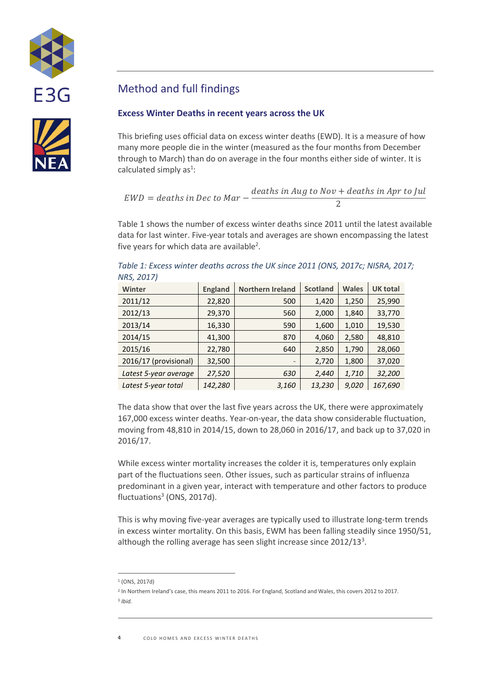



## Method and full findings

## **Excess Winter Deaths in recent years across the UK**

This briefing uses official data on excess winter deaths (EWD). It is a measure of how many more people die in the winter (measured as the four months from December through to March) than do on average in the four months either side of winter. It is calculated simply as<sup>1</sup>:

$$
EWD = deaths in Dec to Mar - \frac{deaths in Aug to Nov + deaths in Apr to Jul}{2}
$$

[Table 1](#page-3-0) shows the number of excess winter deaths since 2011 until the latest available data for last winter. Five-year totals and averages are shown encompassing the latest five years for which data are available<sup>2</sup>.

| <b>Winter</b>         | <b>England</b> | <b>Northern Ireland</b> | <b>Scotland</b> | <b>Wales</b> | <b>UK total</b> |
|-----------------------|----------------|-------------------------|-----------------|--------------|-----------------|
| 2011/12               | 22,820         | 500                     | 1,420           | 1,250        | 25,990          |
| 2012/13               | 29,370         | 560                     | 2,000           | 1,840        | 33,770          |
| 2013/14               | 16,330         | 590                     | 1,600           | 1,010        | 19,530          |
| 2014/15               | 41,300         | 870                     | 4,060           | 2,580        | 48,810          |
| 2015/16               | 22,780         | 640                     | 2,850           | 1,790        | 28,060          |
| 2016/17 (provisional) | 32,500         |                         | 2,720           | 1,800        | 37,020          |
| Latest 5-year average | 27,520         | 630                     | 2,440           | 1,710        | 32,200          |
| Latest 5-year total   | 142,280        | 3,160                   | 13,230          | 9,020        | 167,690         |

<span id="page-3-0"></span>*Table 1: Excess winter deaths across the UK since 2011 (ONS, 2017c; NISRA, 2017; NRS, 2017)*

The data show that over the last five years across the UK, there were approximately 167,000 excess winter deaths. Year-on-year, the data show considerable fluctuation, moving from 48,810 in 2014/15, down to 28,060 in 2016/17, and back up to 37,020 in 2016/17.

While excess winter mortality increases the colder it is, temperatures only explain part of the fluctuations seen. Other issues, such as particular strains of influenza predominant in a given year, interact with temperature and other factors to produce fluctuations<sup>3</sup> (ONS, 2017d).

<span id="page-3-1"></span>This is why moving five-year averages are typically used to illustrate long-term trends in excess winter mortality. On this basis, EWM has been falling steadily since 1950/51, although the rolling average has seen slight increase since  $2012/13<sup>3</sup>$  $2012/13<sup>3</sup>$  $2012/13<sup>3</sup>$ .

 $\overline{a}$ 1 (ONS, 2017d)

<sup>&</sup>lt;sup>2</sup> In Northern Ireland's case, this means 2011 to 2016. For England, Scotland and Wales, this covers 2012 to 2017. 3 *Ibid.*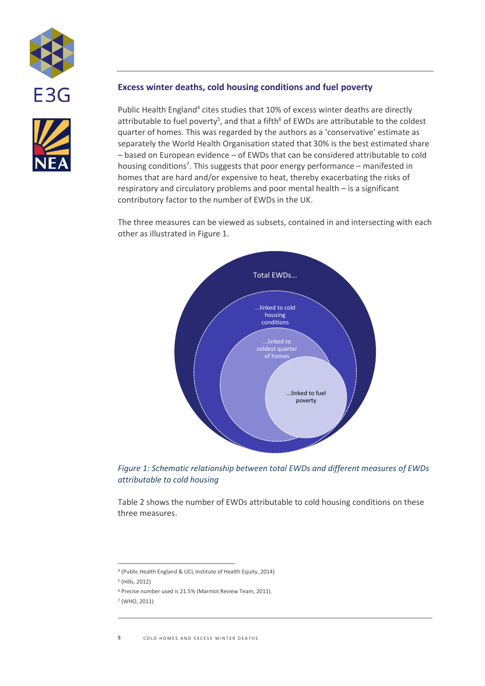



## **Excess winter deaths, cold housing conditions and fuel poverty**

Public Health England<sup>4</sup> cites studies that 10% of excess winter deaths are directly attributable to fuel poverty<sup>5</sup>, and that a fifth<sup>6</sup> of EWDs are attributable to the coldest quarter of homes. This was regarded by the authors as a 'conservative' estimate as separately the World Health Organisation stated that 30% is the best estimated share – based on European evidence – of EWDs that can be considered attributable to cold housing conditions<sup>7</sup>. This suggests that poor energy performance – manifested in homes that are hard and/or expensive to heat, thereby exacerbating the risks of respiratory and circulatory problems and poor mental health – is a significant contributory factor to the number of EWDs in the UK.

The three measures can be viewed as subsets, contained in and intersecting with each other as illustrated i[n Figure 1.](#page-4-0)



<span id="page-4-0"></span>*Figure 1: Schematic relationship between total EWDs and different measures of EWDs attributable to cold housing*

[Table 2](#page-5-0) shows the number of EWDs attributable to cold housing conditions on these three measures.

 $\overline{a}$ 4 (Public Health England & UCL Institute of Health Equity, 2014)

<sup>5</sup> (Hills, 2012)

<sup>6</sup> Precise number used is 21.5% (Marmot Review Team, 2011).

<sup>7</sup> (WHO, 2011)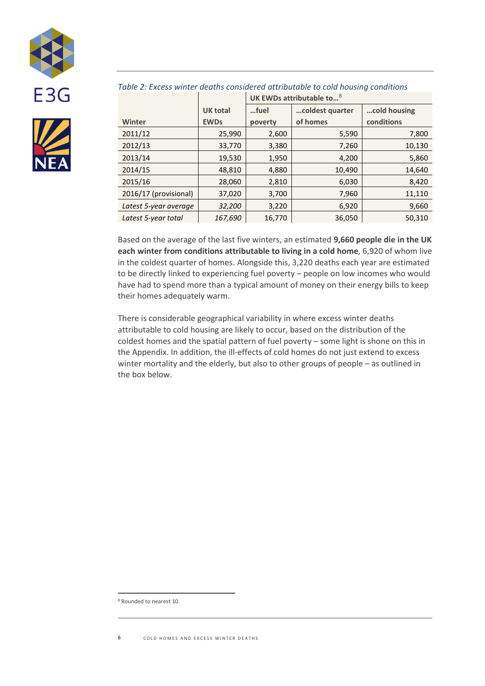



<span id="page-5-0"></span>

| Table 2: Excess winter deaths considered attributable to cold housing conditions |  |  |  |
|----------------------------------------------------------------------------------|--|--|--|
|                                                                                  |  |  |  |

| cold housing<br><b>UK total</b><br>coldest quarter<br>fuel |        |
|------------------------------------------------------------|--------|
| of homes<br>conditions<br>Winter<br><b>EWDs</b><br>poverty |        |
| 2011/12<br>25,990<br>5,590<br>2,600                        | 7,800  |
| 2012/13<br>33,770<br>7,260<br>3,380                        | 10,130 |
| 2013/14<br>19,530<br>4,200<br>1,950                        | 5,860  |
| 2014/15<br>48,810<br>10,490<br>4,880                       | 14,640 |
| 2015/16<br>28,060<br>6,030<br>2,810                        | 8,420  |
| 2016/17 (provisional)<br>37,020<br>7,960<br>3,700          | 11,110 |
| 32,200<br>6,920<br>Latest 5-year average<br>3,220          | 9,660  |
| Latest 5-year total<br>167,690<br>16,770<br>36,050         | 50,310 |

Based on the average of the last five winters, an estimated **9,660 people die in the UK each winter from conditions attributable to living in a cold home**, 6,920 of whom live in the coldest quarter of homes. Alongside this, 3,220 deaths each year are estimated to be directly linked to experiencing fuel poverty – people on low incomes who would have had to spend more than a typical amount of money on their energy bills to keep their homes adequately warm.

There is considerable geographical variability in where excess winter deaths attributable to cold housing are likely to occur, based on the distribution of the coldest homes and the spatial pattern of fuel poverty – some light is shone on this in the Appendix. In addition, the ill-effects of cold homes do not just extend to excess winter mortality and the elderly, but also to other groups of people – as outlined in the box below.

<sup>8</sup> Rounded to nearest 10.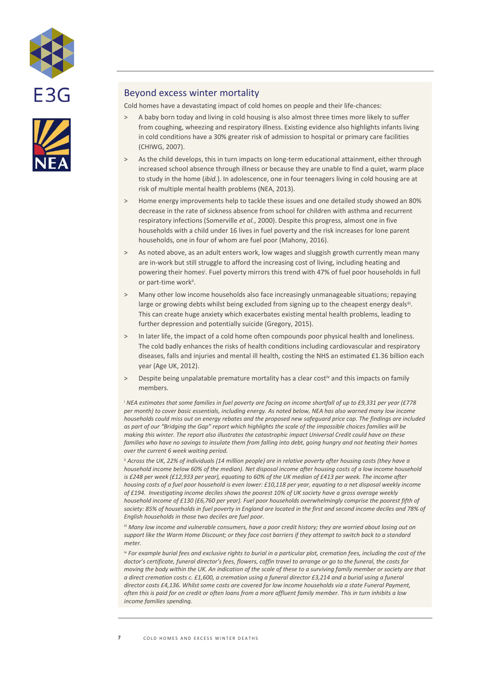



### Beyond excess winter mortality

Cold homes have a devastating impact of cold homes on people and their life-chances:

- A baby born today and living in cold housing is also almost three times more likely to suffer from coughing, wheezing and respiratory illness. Existing evidence also highlights infants living in cold conditions have a 30% greater risk of admission to hospital or primary care facilities (CHIWG, 2007).
- > As the child develops, this in turn impacts on long-term educational attainment, either through increased school absence through illness or because they are unable to find a quiet, warm place to study in the home (*ibid.*). In adolescence, one in four teenagers living in cold housing are at risk of multiple mental health problems (NEA, 2013).
- > Home energy improvements help to tackle these issues and one detailed study showed an 80% decrease in the rate of sickness absence from school for children with asthma and recurrent respiratory infections (Somerville *et al.*, 2000). Despite this progress, almost one in five households with a child under 16 lives in fuel poverty and the risk increases for lone parent households, one in four of whom are fuel poor (Mahony, 2016).
- > As noted above, as an adult enters work, low wages and sluggish growth currently mean many are in-work but still struggle to afford the increasing cost of living, including heating and powering their homes<sup>i</sup> . Fuel poverty mirrors this trend with 47% of fuel poor households in full or part-time work<sup>ii</sup>.
- > Many other low income households also face increasingly unmanageable situations; repaying large or growing debts whilst being excluded from signing up to the cheapest energy deals<sup>iit</sup>. This can create huge anxiety which exacerbates existing mental health problems, leading to further depression and potentially suicide (Gregory, 2015).
- > In later life, the impact of a cold home often compounds poor physical health and loneliness. The cold badly enhances the risks of health conditions including cardiovascular and respiratory diseases, falls and injuries and mental ill health, costing the NHS an estimated £1.36 billion each year (Age UK, 2012).
- > Despite being unpalatable premature mortality has a clear costiv and this impacts on family members.

<sup>i</sup> *NEA estimates that some families in fuel poverty are facing an income shortfall of up to £9,331 per year (£778 per month) to cover basic essentials, including energy. As noted below, NEA has also warned many low income households could miss out on energy rebates and the proposed new safeguard price cap. The findings are included as part of our "Bridging the Gap" report which highlights the scale of the impossible choices families will be making this winter. The report also illustrates the catastrophic impact Universal Credit could have on these families who have no savings to insulate them from falling into debt, going hungry and not heating their homes over the current 6 week waiting period.*

ii *Across the UK, 22% of individuals (14 million people) are in relative poverty after housing costs (they have a household income below 60% of the median). Net disposal income after housing costs of a low income household is £248 per week (£12,933 per year), equating to 60% of the UK median of £413 per week. The income after housing costs of a fuel poor household is even lower: £10,118 per year, equating to a net disposal weekly income of £194. Investigating income deciles shows the poorest 10% of UK society have a gross average weekly household income of £130 (£6,760 per year). Fuel poor households overwhelmingly comprise the poorest fifth of*  society: 85% of households in fuel poverty in England are located in the first and second income deciles and 78% of *English households in those two deciles are fuel poor.*

iii *Many low income and vulnerable consumers, have a poor credit history; they are worried about losing out on support like the Warm Home Discount; or they face cost barriers if they attempt to switch back to a standard meter.*

iv *For example burial fees and exclusive rights to burial in a particular plot, cremation fees, including the cost of the doctor's certificate, funeral director's fees, flowers, coffin travel to arrange or go to the funeral, the costs for moving the body within the UK. An indication of the scale of these to a surviving family member or society are that a direct cremation costs c. £1,600, a cremation using a funeral director £3,214 and a burial using a funeral director costs £4,136. Whilst some costs are covered for low income households via a state Funeral Payment, often this is paid for on credit or often loans from a more affluent family member. This in turn inhibits a low income families spending.*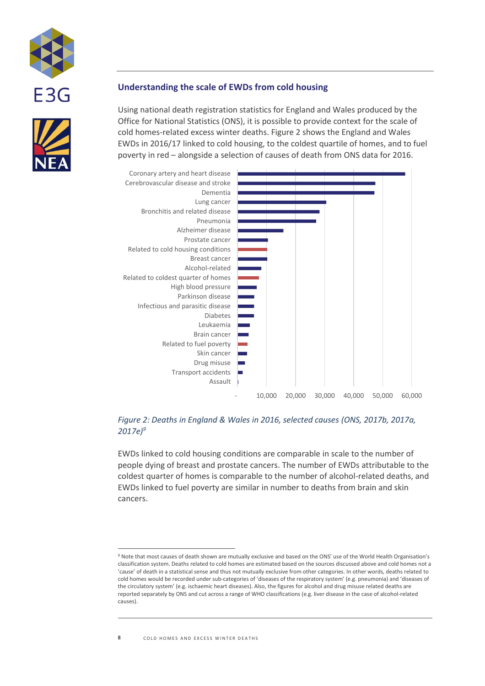



### **Understanding the scale of EWDs from cold housing**

Using national death registration statistics for England and Wales produced by the Office for National Statistics (ONS), it is possible to provide context for the scale of cold homes-related excess winter deaths[. Figure 2](#page-7-0) shows the England and Wales EWDs in 2016/17 linked to cold housing, to the coldest quartile of homes, and to fuel poverty in red – alongside a selection of causes of death from ONS data for 2016.



#### <span id="page-7-0"></span>*Figure 2: Deaths in England & Wales in 2016, selected causes (ONS, 2017b, 2017a, 2017e)<sup>9</sup>*

EWDs linked to cold housing conditions are comparable in scale to the number of people dying of breast and prostate cancers. The number of EWDs attributable to the coldest quarter of homes is comparable to the number of alcohol-related deaths, and EWDs linked to fuel poverty are similar in number to deaths from brain and skin cancers.

<sup>9</sup> Note that most causes of death shown are mutually exclusive and based on the ONS' use of the World Health Organisation's classification system. Deaths related to cold homes are estimated based on the sources discussed above and cold homes not a 'cause' of death in a statistical sense and thus not mutually exclusive from other categories. In other words, deaths related to cold homes would be recorded under sub-categories of 'diseases of the respiratory system' (e.g. pneumonia) and 'diseases of the circulatory system' (e.g. ischaemic heart diseases). Also, the figures for alcohol and drug misuse related deaths are reported separately by ONS and cut across a range of WHO classifications (e.g. liver disease in the case of alcohol-related causes).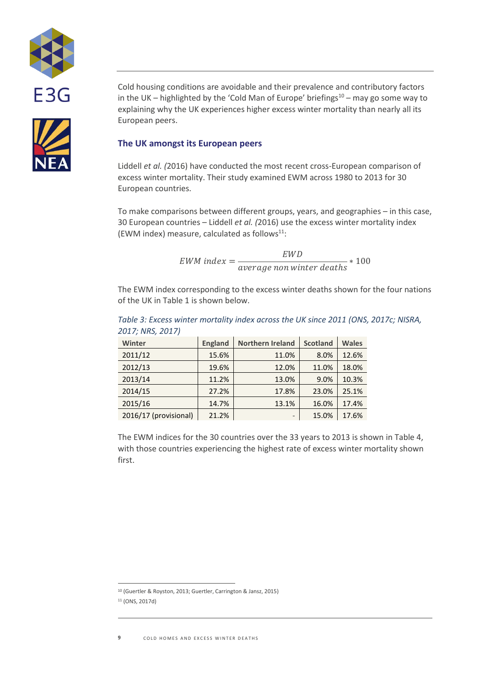

Cold housing conditions are avoidable and their prevalence and contributory factors in the UK – highlighted by the 'Cold Man of Europe' briefings $10 -$  may go some way to explaining why the UK experiences higher excess winter mortality than nearly all its European peers.

### **The UK amongst its European peers**

Liddell *et al. (*2016) have conducted the most recent cross-European comparison of excess winter mortality. Their study examined EWM across 1980 to 2013 for 30 European countries.

To make comparisons between different groups, years, and geographies – in this case, 30 European countries – Liddell *et al. (*2016) use the excess winter mortality index (EWM index) measure, calculated as follows $11$ :

> $EWM$  index  $=$ EW D average non winter deaths \* 100

The EWM index corresponding to the excess winter deaths shown for the four nations of the UK i[n Table 1](#page-3-0) is shown below.

| Table 3: Excess winter mortality index across the UK since 2011 (ONS, 2017c; NISRA, |  |
|-------------------------------------------------------------------------------------|--|
| 2017; NRS, 2017)                                                                    |  |

| Winter                | <b>England</b> | <b>Northern Ireland</b> | <b>Scotland</b> | <b>Wales</b> |
|-----------------------|----------------|-------------------------|-----------------|--------------|
| 2011/12               | 15.6%          | 11.0%                   | 8.0%            | 12.6%        |
| 2012/13               | 19.6%          | 12.0%                   | 11.0%           | 18.0%        |
| 2013/14               | 11.2%          | 13.0%                   | 9.0%            | 10.3%        |
| 2014/15               | 27.2%          | 17.8%                   | 23.0%           | 25.1%        |
| 2015/16               | 14.7%          | 13.1%                   | 16.0%           | 17.4%        |
| 2016/17 (provisional) | 21.2%          | $\qquad \qquad -$       | 15.0%           | 17.6%        |

The EWM indices for the 30 countries over the 33 years to 2013 is shown in [Table 4,](#page-9-0) with those countries experiencing the highest rate of excess winter mortality shown first.

<sup>10</sup> (Guertler & Royston, 2013; Guertler, Carrington & Jansz, 2015) <sup>11</sup> (ONS, 2017d)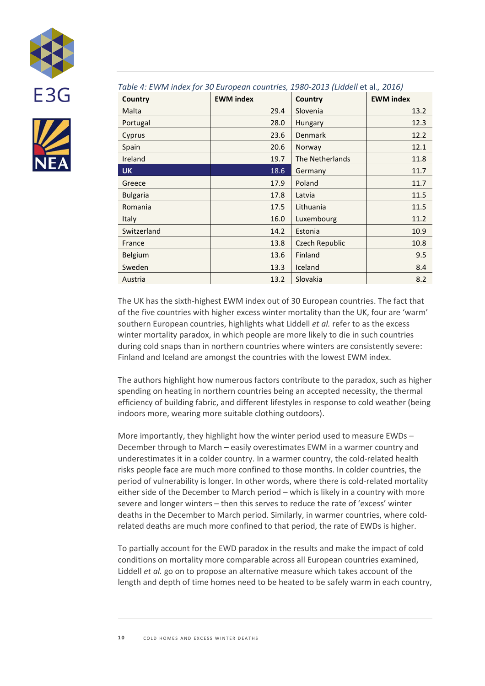



#### <span id="page-9-0"></span>*Table 4: EWM index for 30 European countries, 1980-2013 (Liddell* et al.*, 2016)*

| Country         | <b>EWM</b> index | Country               | <b>EWM</b> index |
|-----------------|------------------|-----------------------|------------------|
| Malta           | 29.4             | Slovenia              | 13.2             |
| Portugal        | 28.0             | Hungary               | 12.3             |
| Cyprus          | 23.6             | Denmark               | 12.2             |
| Spain           | 20.6             | Norway                | 12.1             |
| Ireland         | 19.7             | The Netherlands       | 11.8             |
| <b>UK</b>       | 18.6             | Germany               | 11.7             |
| Greece          | 17.9             | Poland                | 11.7             |
| <b>Bulgaria</b> | 17.8             | Latvia                | 11.5             |
| Romania         | 17.5             | Lithuania             | 11.5             |
| Italy           | 16.0             | Luxembourg            | 11.2             |
| Switzerland     | 14.2             | Estonia               | 10.9             |
| France          | 13.8             | <b>Czech Republic</b> | 10.8             |
| Belgium         | 13.6             | Finland               | 9.5              |
| Sweden          | 13.3             | Iceland               | 8.4              |
| Austria         | 13.2             | Slovakia              | 8.2              |

The UK has the sixth-highest EWM index out of 30 European countries. The fact that of the five countries with higher excess winter mortality than the UK, four are 'warm' southern European countries, highlights what Liddell *et al.* refer to as the excess winter mortality paradox, in which people are more likely to die in such countries during cold snaps than in northern countries where winters are consistently severe: Finland and Iceland are amongst the countries with the lowest EWM index.

The authors highlight how numerous factors contribute to the paradox, such as higher spending on heating in northern countries being an accepted necessity, the thermal efficiency of building fabric, and different lifestyles in response to cold weather (being indoors more, wearing more suitable clothing outdoors).

More importantly, they highlight how the winter period used to measure EWDs – December through to March – easily overestimates EWM in a warmer country and underestimates it in a colder country. In a warmer country, the cold-related health risks people face are much more confined to those months. In colder countries, the period of vulnerability is longer. In other words, where there is cold-related mortality either side of the December to March period – which is likely in a country with more severe and longer winters – then this serves to reduce the rate of 'excess' winter deaths in the December to March period. Similarly, in warmer countries, where coldrelated deaths are much more confined to that period, the rate of EWDs is higher.

To partially account for the EWD paradox in the results and make the impact of cold conditions on mortality more comparable across all European countries examined, Liddell *et al.* go on to propose an alternative measure which takes account of the length and depth of time homes need to be heated to be safely warm in each country,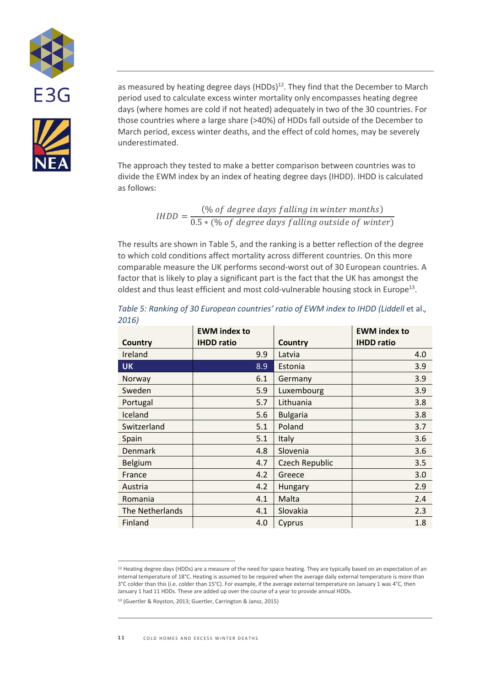



as measured by heating degree days (HDDs)<sup>12</sup>. They find that the December to March period used to calculate excess winter mortality only encompasses heating degree days (where homes are cold if not heated) adequately in two of the 30 countries. For those countries where a large share (>40%) of HDDs fall outside of the December to March period, excess winter deaths, and the effect of cold homes, may be severely underestimated.

The approach they tested to make a better comparison between countries was to divide the EWM index by an index of heating degree days (IHDD). IHDD is calculated as follows:

$$
IHDD = \frac{(% of degree days falling in winter months)}{0.5 * (% of degree days falling outside of winter)}
$$

The results are shown in [Table 5,](#page-10-0) and the ranking is a better reflection of the degree to which cold conditions affect mortality across different countries. On this more comparable measure the UK performs second-worst out of 30 European countries. A factor that is likely to play a significant part is the fact that the UK has amongst the oldest and thus least efficient and most cold-vulnerable housing stock in Europe<sup>13</sup>.

|                 | <b>EWM</b> index to |                       | <b>EWM</b> index to |
|-----------------|---------------------|-----------------------|---------------------|
| Country         | <b>IHDD ratio</b>   | Country               | <b>IHDD</b> ratio   |
| Ireland         | 9.9                 | Latvia                | 4.0                 |
| <b>UK</b>       | 8.9                 | Estonia               | 3.9                 |
| Norway          | 6.1                 | Germany               | 3.9                 |
| Sweden          | 5.9                 | Luxembourg            | 3.9                 |
| Portugal        | 5.7                 | Lithuania             | 3.8                 |
| Iceland         | 5.6                 | <b>Bulgaria</b>       | 3.8                 |
| Switzerland     | 5.1                 | Poland                | 3.7                 |
| Spain           | 5.1                 | <b>Italy</b>          | 3.6                 |
| <b>Denmark</b>  | 4.8                 | Slovenia              | 3.6                 |
| <b>Belgium</b>  | 4.7                 | <b>Czech Republic</b> | 3.5                 |
| France          | 4.2                 | Greece                | 3.0                 |
| Austria         | 4.2                 | Hungary               | 2.9                 |
| Romania         | 4.1                 | Malta                 | 2.4                 |
| The Netherlands | 4.1                 | Slovakia              | 2.3                 |
| Finland         | 4.0                 | Cyprus                | 1.8                 |

<span id="page-10-0"></span>*Table 5: Ranking of 30 European countries' ratio of EWM index to IHDD (Liddell* et al.*, 2016)*

<sup>&</sup>lt;sup>12</sup> Heating degree days (HDDs) are a measure of the need for space heating. They are typically based on an expectation of an internal temperature of 18°C. Heating is assumed to be required when the average daily external temperature is more than 3°C colder than this (i.e. colder than 15°C). For example, if the average external temperature on January 1 was 4°C, then January 1 had 11 HDDs. These are added up over the course of a year to provide annual HDDs.

<sup>13</sup> (Guertler & Royston, 2013; Guertler, Carrington & Jansz, 2015)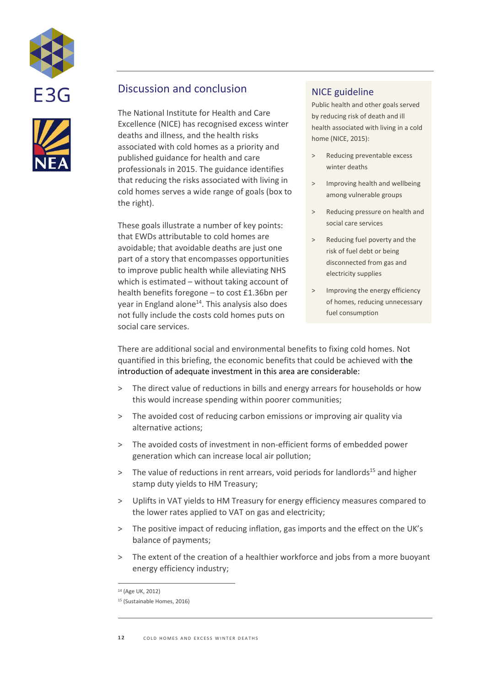



## Discussion and conclusion

The National Institute for Health and Care Excellence (NICE) has recognised excess winter deaths and illness, and the health risks associated with cold homes as a priority and published guidance for health and care professionals in 2015. The guidance identifies that reducing the risks associated with living in cold homes serves a wide range of goals (box to the right).

These goals illustrate a number of key points: that EWDs attributable to cold homes are avoidable; that avoidable deaths are just one part of a story that encompasses opportunities to improve public health while alleviating NHS which is estimated – without taking account of health benefits foregone – to cost £1.36bn per year in England alone<sup>14</sup>. This analysis also does not fully include the costs cold homes puts on social care services.

## NICE guideline

Public health and other goals served by reducing risk of death and ill health associated with living in a cold home (NICE, 2015):

- > Reducing preventable excess winter deaths
- > Improving health and wellbeing among vulnerable groups
- > Reducing pressure on health and social care services
- Reducing fuel poverty and the risk of fuel debt or being disconnected from gas and electricity supplies
- > Improving the energy efficiency of homes, reducing unnecessary fuel consumption

There are additional social and environmental benefits to fixing cold homes. Not quantified in this briefing, the economic benefits that could be achieved with the introduction of adequate investment in this area are considerable:

- > The direct value of reductions in bills and energy arrears for households or how this would increase spending within poorer communities;
- > The avoided cost of reducing carbon emissions or improving air quality via alternative actions;
- > The avoided costs of investment in non-efficient forms of embedded power generation which can increase local air pollution;
- $>$  The value of reductions in rent arrears, void periods for landlords<sup>15</sup> and higher stamp duty yields to HM Treasury;
- > Uplifts in VAT yields to HM Treasury for energy efficiency measures compared to the lower rates applied to VAT on gas and electricity;
- > The positive impact of reducing inflation, gas imports and the effect on the UK's balance of payments;
- > The extent of the creation of a healthier workforce and jobs from a more buoyant energy efficiency industry;

<sup>14</sup> (Age UK, 2012)

<sup>15</sup> (Sustainable Homes, 2016)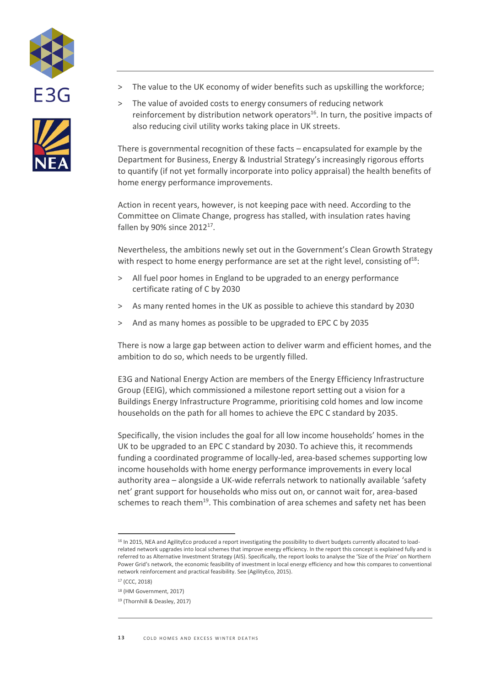



- > The value to the UK economy of wider benefits such as upskilling the workforce;
- > The value of avoided costs to energy consumers of reducing network reinforcement by distribution network operators $^{16}$ . In turn, the positive impacts of also reducing civil utility works taking place in UK streets.

There is governmental recognition of these facts – encapsulated for example by the Department for Business, Energy & Industrial Strategy's increasingly rigorous efforts to quantify (if not yet formally incorporate into policy appraisal) the health benefits of home energy performance improvements.

Action in recent years, however, is not keeping pace with need. According to the Committee on Climate Change, progress has stalled, with insulation rates having fallen by 90% since  $2012^{17}$ .

Nevertheless, the ambitions newly set out in the Government's Clean Growth Strategy with respect to home energy performance are set at the right level, consisting of $^{18}$ :

- > All fuel poor homes in England to be upgraded to an energy performance certificate rating of C by 2030
- > As many rented homes in the UK as possible to achieve this standard by 2030
- > And as many homes as possible to be upgraded to EPC C by 2035

There is now a large gap between action to deliver warm and efficient homes, and the ambition to do so, which needs to be urgently filled.

E3G and National Energy Action are members of the Energy Efficiency Infrastructure Group (EEIG), which commissioned a milestone report setting out a vision for a Buildings Energy Infrastructure Programme, prioritising cold homes and low income households on the path for all homes to achieve the EPC C standard by 2035.

Specifically, the vision includes the goal for all low income households' homes in the UK to be upgraded to an EPC C standard by 2030. To achieve this, it recommends funding a coordinated programme of locally-led, area-based schemes supporting low income households with home energy performance improvements in every local authority area – alongside a UK-wide referrals network to nationally available 'safety net' grant support for households who miss out on, or cannot wait for, area-based schemes to reach them<sup>19</sup>. This combination of area schemes and safety net has been

<sup>&</sup>lt;sup>16</sup> In 2015, NEA and AgilityEco produced a report investigating the possibility to divert budgets currently allocated to loadrelated network upgrades into local schemes that improve energy efficiency. In the report this concept is explained fully and is referred to as Alternative Investment Strategy (AIS). Specifically, the report looks to analyse the 'Size of the Prize' on Northern Power Grid's network, the economic feasibility of investment in local energy efficiency and how this compares to conventional network reinforcement and practical feasibility. See (AgilityEco, 2015).

<sup>17</sup> (CCC, 2018)

<sup>18</sup> (HM Government, 2017)

<sup>19</sup> (Thornhill & Deasley, 2017)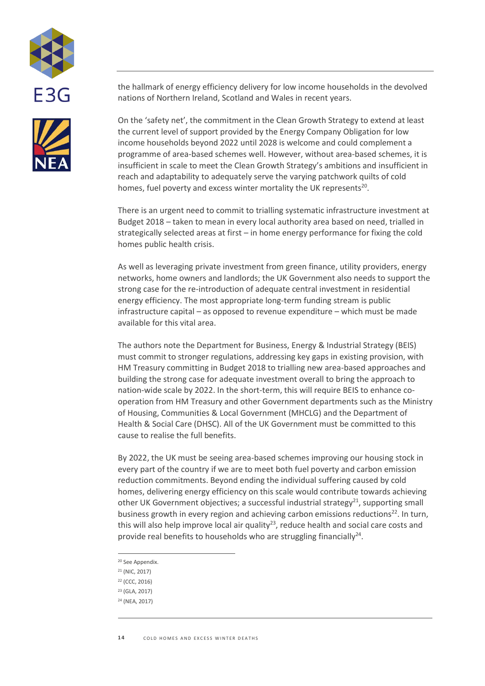

the hallmark of energy efficiency delivery for low income households in the devolved nations of Northern Ireland, Scotland and Wales in recent years.

On the 'safety net', the commitment in the Clean Growth Strategy to extend at least the current level of support provided by the Energy Company Obligation for low income households beyond 2022 until 2028 is welcome and could complement a programme of area-based schemes well. However, without area-based schemes, it is insufficient in scale to meet the Clean Growth Strategy's ambitions and insufficient in reach and adaptability to adequately serve the varying patchwork quilts of cold homes, fuel poverty and excess winter mortality the UK represents<sup>20</sup>.

There is an urgent need to commit to trialling systematic infrastructure investment at Budget 2018 – taken to mean in every local authority area based on need, trialled in strategically selected areas at first – in home energy performance for fixing the cold homes public health crisis.

As well as leveraging private investment from green finance, utility providers, energy networks, home owners and landlords; the UK Government also needs to support the strong case for the re-introduction of adequate central investment in residential energy efficiency. The most appropriate long-term funding stream is public infrastructure capital – as opposed to revenue expenditure – which must be made available for this vital area.

The authors note the Department for Business, Energy & Industrial Strategy (BEIS) must commit to stronger regulations, addressing key gaps in existing provision, with HM Treasury committing in Budget 2018 to trialling new area-based approaches and building the strong case for adequate investment overall to bring the approach to nation-wide scale by 2022. In the short-term, this will require BEIS to enhance cooperation from HM Treasury and other Government departments such as the Ministry of Housing, Communities & Local Government (MHCLG) and the Department of Health & Social Care (DHSC). All of the UK Government must be committed to this cause to realise the full benefits.

By 2022, the UK must be seeing area-based schemes improving our housing stock in every part of the country if we are to meet both fuel poverty and carbon emission reduction commitments. Beyond ending the individual suffering caused by cold homes, delivering energy efficiency on this scale would contribute towards achieving other UK Government objectives; a successful industrial strategy<sup>21</sup>, supporting small business growth in every region and achieving carbon emissions reductions<sup>22</sup>. In turn, this will also help improve local air quality<sup>23</sup>, reduce health and social care costs and provide real benefits to households who are struggling financially<sup>24</sup>.

- $\overline{a}$ <sup>20</sup> See Appendix.
- <sup>21</sup> (NIC, 2017)
- <sup>22</sup> (CCC, 2016)
- <sup>23</sup> (GLA, 2017)
- <sup>24</sup> (NEA, 2017)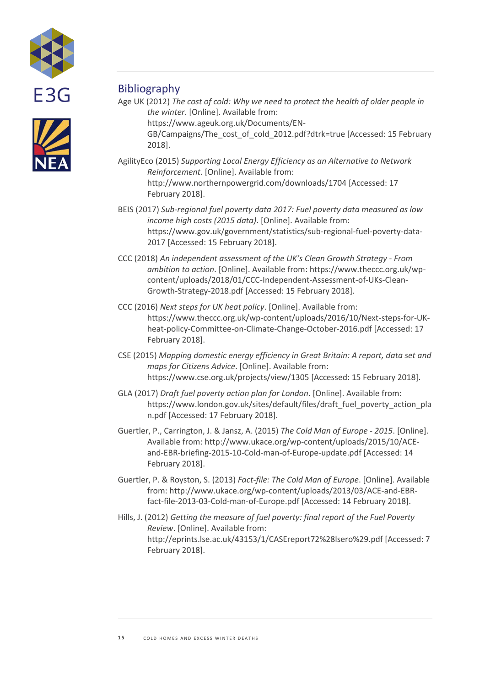



## **Bibliography**

Age UK (2012) *The cost of cold: Why we need to protect the health of older people in the winter*. [Online]. Available from:

https://www.ageuk.org.uk/Documents/EN-GB/Campaigns/The\_cost\_of\_cold\_2012.pdf?dtrk=true [Accessed: 15 February 2018].

- AgilityEco (2015) *Supporting Local Energy Efficiency as an Alternative to Network Reinforcement*. [Online]. Available from: http://www.northernpowergrid.com/downloads/1704 [Accessed: 17 February 2018].
- BEIS (2017) *Sub-regional fuel poverty data 2017: Fuel poverty data measured as low income high costs (2015 data)*. [Online]. Available from: https://www.gov.uk/government/statistics/sub-regional-fuel-poverty-data-2017 [Accessed: 15 February 2018].
- CCC (2018) *An independent assessment of the UK's Clean Growth Strategy - From ambition to action*. [Online]. Available from: https://www.theccc.org.uk/wpcontent/uploads/2018/01/CCC-Independent-Assessment-of-UKs-Clean-Growth-Strategy-2018.pdf [Accessed: 15 February 2018].
- CCC (2016) *Next steps for UK heat policy*. [Online]. Available from: https://www.theccc.org.uk/wp-content/uploads/2016/10/Next-steps-for-UKheat-policy-Committee-on-Climate-Change-October-2016.pdf [Accessed: 17 February 2018].
- CSE (2015) *Mapping domestic energy efficiency in Great Britain: A report, data set and maps for Citizens Advice*. [Online]. Available from: https://www.cse.org.uk/projects/view/1305 [Accessed: 15 February 2018].
- GLA (2017) *Draft fuel poverty action plan for London*. [Online]. Available from: https://www.london.gov.uk/sites/default/files/draft\_fuel\_poverty\_action\_pla n.pdf [Accessed: 17 February 2018].
- Guertler, P., Carrington, J. & Jansz, A. (2015) *The Cold Man of Europe - 2015*. [Online]. Available from: http://www.ukace.org/wp-content/uploads/2015/10/ACEand-EBR-briefing-2015-10-Cold-man-of-Europe-update.pdf [Accessed: 14 February 2018].
- Guertler, P. & Royston, S. (2013) *Fact-file: The Cold Man of Europe*. [Online]. Available from: http://www.ukace.org/wp-content/uploads/2013/03/ACE-and-EBRfact-file-2013-03-Cold-man-of-Europe.pdf [Accessed: 14 February 2018].
- Hills, J. (2012) *Getting the measure of fuel poverty: final report of the Fuel Poverty Review*. [Online]. Available from: http://eprints.lse.ac.uk/43153/1/CASEreport72%28lsero%29.pdf [Accessed: 7 February 2018].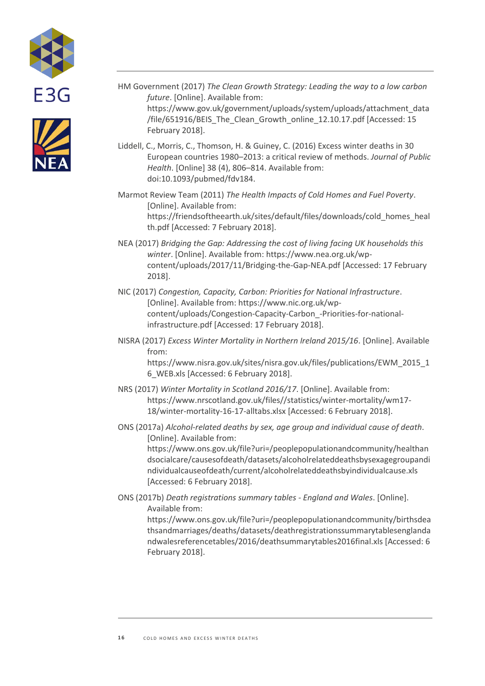



- HM Government (2017) *The Clean Growth Strategy: Leading the way to a low carbon future*. [Online]. Available from: https://www.gov.uk/government/uploads/system/uploads/attachment\_data /file/651916/BEIS\_The\_Clean\_Growth\_online\_12.10.17.pdf [Accessed: 15 February 2018].
- Liddell, C., Morris, C., Thomson, H. & Guiney, C. (2016) Excess winter deaths in 30 European countries 1980–2013: a critical review of methods. *Journal of Public Health*. [Online] 38 (4), 806–814. Available from: doi:10.1093/pubmed/fdv184.
- Marmot Review Team (2011) *The Health Impacts of Cold Homes and Fuel Poverty*. [Online]. Available from: https://friendsoftheearth.uk/sites/default/files/downloads/cold\_homes\_heal th.pdf [Accessed: 7 February 2018].
- NEA (2017) *Bridging the Gap: Addressing the cost of living facing UK households this winter*. [Online]. Available from: https://www.nea.org.uk/wpcontent/uploads/2017/11/Bridging-the-Gap-NEA.pdf [Accessed: 17 February 2018].
- NIC (2017) *Congestion, Capacity, Carbon: Priorities for National Infrastructure*. [Online]. Available from: https://www.nic.org.uk/wpcontent/uploads/Congestion-Capacity-Carbon\_-Priorities-for-nationalinfrastructure.pdf [Accessed: 17 February 2018].
- NISRA (2017) *Excess Winter Mortality in Northern Ireland 2015/16*. [Online]. Available from:

https://www.nisra.gov.uk/sites/nisra.gov.uk/files/publications/EWM\_2015\_1 6\_WEB.xls [Accessed: 6 February 2018].

- NRS (2017) *Winter Mortality in Scotland 2016/17*. [Online]. Available from: https://www.nrscotland.gov.uk/files//statistics/winter-mortality/wm17- 18/winter-mortality-16-17-alltabs.xlsx [Accessed: 6 February 2018].
- ONS (2017a) *Alcohol-related deaths by sex, age group and individual cause of death*. [Online]. Available from: https://www.ons.gov.uk/file?uri=/peoplepopulationandcommunity/healthan dsocialcare/causesofdeath/datasets/alcoholrelateddeathsbysexagegroupandi ndividualcauseofdeath/current/alcoholrelateddeathsbyindividualcause.xls

[Accessed: 6 February 2018]. ONS (2017b) *Death registrations summary tables - England and Wales*. [Online]. Available from:

https://www.ons.gov.uk/file?uri=/peoplepopulationandcommunity/birthsdea thsandmarriages/deaths/datasets/deathregistrationssummarytablesenglanda ndwalesreferencetables/2016/deathsummarytables2016final.xls [Accessed: 6 February 2018].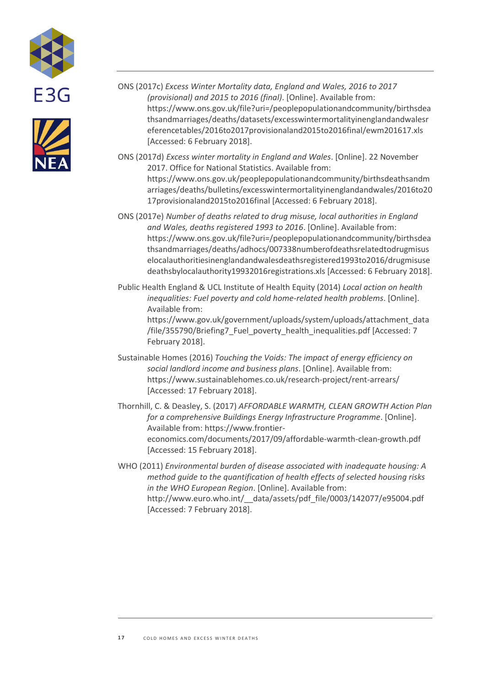



- ONS (2017c) *Excess Winter Mortality data, England and Wales, 2016 to 2017 (provisional) and 2015 to 2016 (final)*. [Online]. Available from: https://www.ons.gov.uk/file?uri=/peoplepopulationandcommunity/birthsdea thsandmarriages/deaths/datasets/excesswintermortalityinenglandandwalesr eferencetables/2016to2017provisionaland2015to2016final/ewm201617.xls [Accessed: 6 February 2018].
- ONS (2017d) *Excess winter mortality in England and Wales*. [Online]. 22 November 2017. Office for National Statistics. Available from: https://www.ons.gov.uk/peoplepopulationandcommunity/birthsdeathsandm arriages/deaths/bulletins/excesswintermortalityinenglandandwales/2016to20 17provisionaland2015to2016final [Accessed: 6 February 2018].
- ONS (2017e) *Number of deaths related to drug misuse, local authorities in England and Wales, deaths registered 1993 to 2016*. [Online]. Available from: https://www.ons.gov.uk/file?uri=/peoplepopulationandcommunity/birthsdea thsandmarriages/deaths/adhocs/007338numberofdeathsrelatedtodrugmisus elocalauthoritiesinenglandandwalesdeathsregistered1993to2016/drugmisuse deathsbylocalauthority19932016registrations.xls [Accessed: 6 February 2018].

Public Health England & UCL Institute of Health Equity (2014) *Local action on health inequalities: Fuel poverty and cold home-related health problems*. [Online]. Available from: https://www.gov.uk/government/uploads/system/uploads/attachment\_data /file/355790/Briefing7\_Fuel\_poverty\_health\_inequalities.pdf [Accessed: 7 February 2018].

Sustainable Homes (2016) *Touching the Voids: The impact of energy efficiency on social landlord income and business plans*. [Online]. Available from: https://www.sustainablehomes.co.uk/research-project/rent-arrears/ [Accessed: 17 February 2018].

Thornhill, C. & Deasley, S. (2017) *AFFORDABLE WARMTH, CLEAN GROWTH Action Plan for a comprehensive Buildings Energy Infrastructure Programme*. [Online]. Available from: https://www.frontiereconomics.com/documents/2017/09/affordable-warmth-clean-growth.pdf [Accessed: 15 February 2018].

WHO (2011) *Environmental burden of disease associated with inadequate housing: A method guide to the quantification of health effects of selected housing risks in the WHO European Region*. [Online]. Available from: http://www.euro.who.int/ data/assets/pdf file/0003/142077/e95004.pdf [Accessed: 7 February 2018].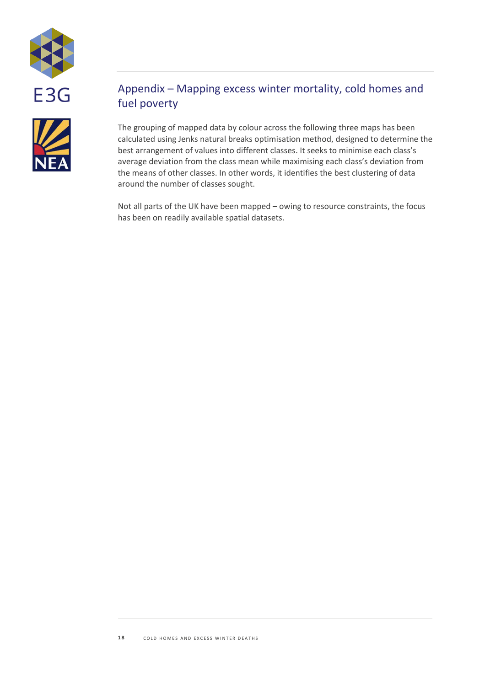



## Appendix – Mapping excess winter mortality, cold homes and fuel poverty

The grouping of mapped data by colour across the following three maps has been calculated using Jenks natural breaks optimisation method, designed to determine the best arrangement of values into different classes. It seeks to minimise each class's average deviation from the class mean while maximising each class's deviation from the means of other classes. In other words, it identifies the best clustering of data around the number of classes sought.

Not all parts of the UK have been mapped – owing to resource constraints, the focus has been on readily available spatial datasets.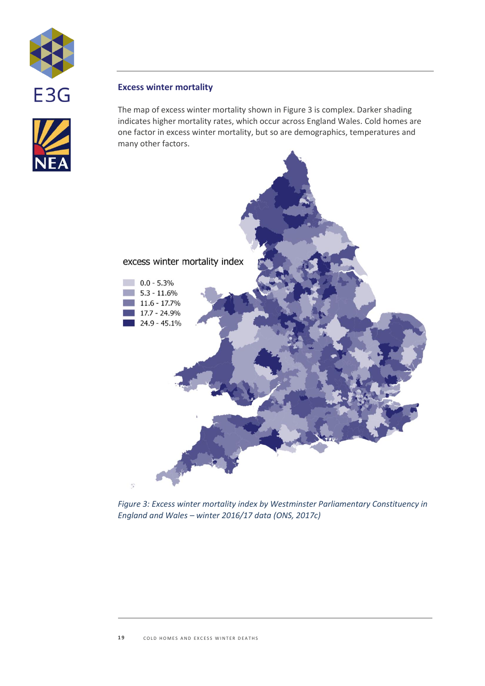

## **Excess winter mortality**

The map of excess winter mortality shown in [Figure 3](#page-18-0) is complex. Darker shading indicates higher mortality rates, which occur across England Wales. Cold homes are one factor in excess winter mortality, but so are demographics, temperatures and many other factors.



<span id="page-18-0"></span>*Figure 3: Excess winter mortality index by Westminster Parliamentary Constituency in England and Wales – winter 2016/17 data (ONS, 2017c)*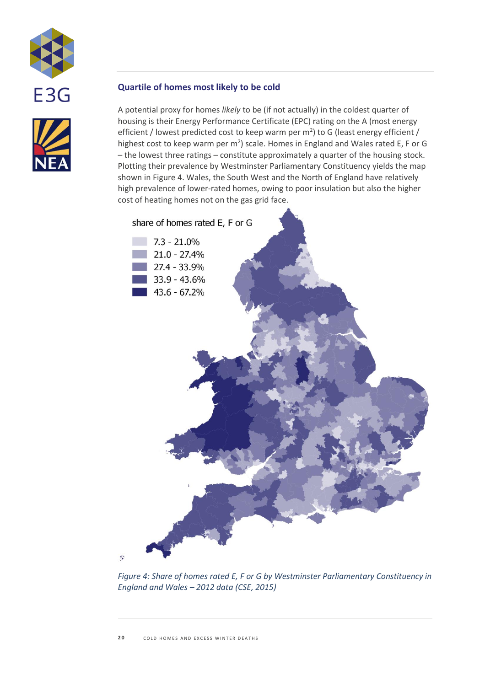



## **Quartile of homes most likely to be cold**

A potential proxy for homes *likely* to be (if not actually) in the coldest quarter of housing is their Energy Performance Certificate (EPC) rating on the A (most energy efficient / lowest predicted cost to keep warm per  $m^2$ ) to G (least energy efficient / highest cost to keep warm per  $m^2$ ) scale. Homes in England and Wales rated E, F or G – the lowest three ratings – constitute approximately a quarter of the housing stock. Plotting their prevalence by Westminster Parliamentary Constituency yields the map shown i[n Figure 4.](#page-19-0) Wales, the South West and the North of England have relatively high prevalence of lower-rated homes, owing to poor insulation but also the higher cost of heating homes not on the gas grid face.



<span id="page-19-0"></span>*Figure 4: Share of homes rated E, F or G by Westminster Parliamentary Constituency in England and Wales – 2012 data (CSE, 2015)*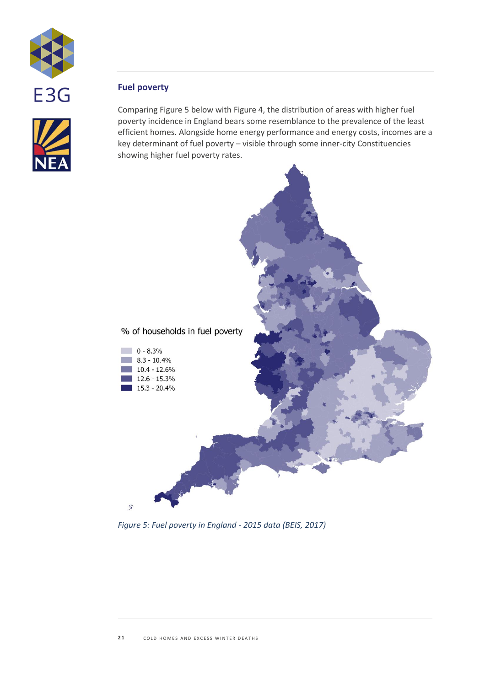

## **Fuel poverty**

Comparing [Figure 5](#page-20-0) below wit[h Figure 4,](#page-19-0) the distribution of areas with higher fuel poverty incidence in England bears some resemblance to the prevalence of the least efficient homes. Alongside home energy performance and energy costs, incomes are a key determinant of fuel poverty – visible through some inner-city Constituencies showing higher fuel poverty rates.



<span id="page-20-0"></span>*Figure 5: Fuel poverty in England - 2015 data (BEIS, 2017)*